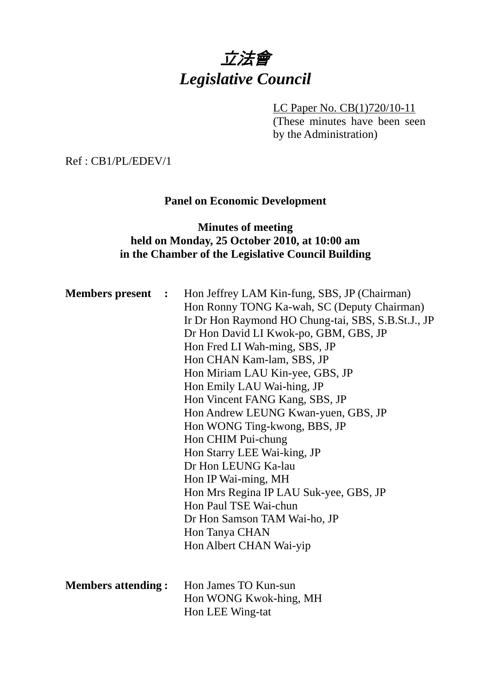

LC Paper No. CB(1)720/10-11 (These minutes have been seen by the Administration)

Ref : CB1/PL/EDEV/1

# **Panel on Economic Development**

# **Minutes of meeting held on Monday, 25 October 2010, at 10:00 am in the Chamber of the Legislative Council Building**

| <b>Members present :</b>  | Hon Jeffrey LAM Kin-fung, SBS, JP (Chairman)<br>Hon Ronny TONG Ka-wah, SC (Deputy Chairman)<br>Ir Dr Hon Raymond HO Chung-tai, SBS, S.B.St.J., JP<br>Dr Hon David LI Kwok-po, GBM, GBS, JP<br>Hon Fred LI Wah-ming, SBS, JP<br>Hon CHAN Kam-lam, SBS, JP<br>Hon Miriam LAU Kin-yee, GBS, JP<br>Hon Emily LAU Wai-hing, JP<br>Hon Vincent FANG Kang, SBS, JP<br>Hon Andrew LEUNG Kwan-yuen, GBS, JP<br>Hon WONG Ting-kwong, BBS, JP<br>Hon CHIM Pui-chung<br>Hon Starry LEE Wai-king, JP<br>Dr Hon LEUNG Ka-lau<br>Hon IP Wai-ming, MH<br>Hon Mrs Regina IP LAU Suk-yee, GBS, JP<br>Hon Paul TSE Wai-chun<br>Dr Hon Samson TAM Wai-ho, JP<br>Hon Tanya CHAN |  |
|---------------------------|------------------------------------------------------------------------------------------------------------------------------------------------------------------------------------------------------------------------------------------------------------------------------------------------------------------------------------------------------------------------------------------------------------------------------------------------------------------------------------------------------------------------------------------------------------------------------------------------------------------------------------------------------------|--|
|                           | Hon Albert CHAN Wai-yip                                                                                                                                                                                                                                                                                                                                                                                                                                                                                                                                                                                                                                    |  |
|                           |                                                                                                                                                                                                                                                                                                                                                                                                                                                                                                                                                                                                                                                            |  |
| <b>Members attending:</b> | Hon James TO Kun-sun<br>Hon WONG Kwok-hing, MH<br>Hon LEE Wing-tat                                                                                                                                                                                                                                                                                                                                                                                                                                                                                                                                                                                         |  |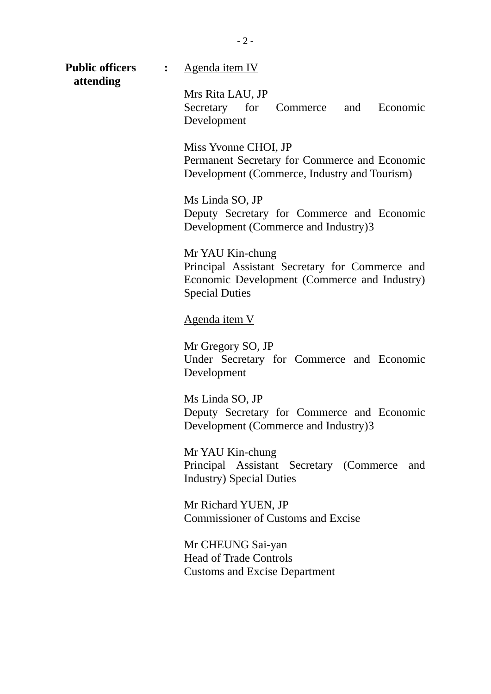| <b>Public officers</b><br>attending | $\ddot{\cdot}$ | Agenda item IV                                                                                                                              |
|-------------------------------------|----------------|---------------------------------------------------------------------------------------------------------------------------------------------|
|                                     |                | Mrs Rita LAU, JP<br>Secretary for<br>Commerce and Economic<br>Development                                                                   |
|                                     |                | Miss Yvonne CHOI, JP<br>Permanent Secretary for Commerce and Economic<br>Development (Commerce, Industry and Tourism)                       |
|                                     |                | Ms Linda SO, JP<br>Deputy Secretary for Commerce and Economic<br>Development (Commerce and Industry)3                                       |
|                                     |                | Mr YAU Kin-chung<br>Principal Assistant Secretary for Commerce and<br>Economic Development (Commerce and Industry)<br><b>Special Duties</b> |
|                                     |                | <u>Agenda item V</u>                                                                                                                        |
|                                     |                | Mr Gregory SO, JP<br>Under Secretary for Commerce and Economic<br>Development                                                               |
|                                     |                | Ms Linda SO, JP<br>Deputy Secretary for Commerce and Economic<br>Development (Commerce and Industry)3                                       |
|                                     |                | Mr YAU Kin-chung<br>Principal Assistant Secretary (Commerce<br>and<br><b>Industry</b> ) Special Duties                                      |
|                                     |                | Mr Richard YUEN, JP<br><b>Commissioner of Customs and Excise</b>                                                                            |
|                                     |                | Mr CHEUNG Sai-yan<br><b>Head of Trade Controls</b><br><b>Customs and Excise Department</b>                                                  |

- 2 -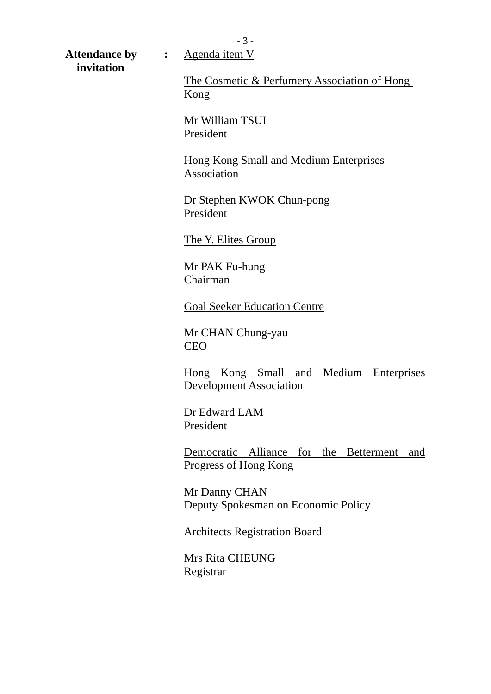- 3 -

Attendance by : Agenda item V  **invitation** 

The Cosmetic & Perfumery Association of Hong Kong

Mr William TSUI President

Hong Kong Small and Medium Enterprises Association

Dr Stephen KWOK Chun-pong President

The Y. Elites Group

Mr PAK Fu-hung Chairman

Goal Seeker Education Centre

Mr CHAN Chung-yau CEO

Hong Kong Small and Medium Enterprises Development Association

Dr Edward LAM President

Democratic Alliance for the Betterment and Progress of Hong Kong

Mr Danny CHAN Deputy Spokesman on Economic Policy

Architects Registration Board

Mrs Rita CHEUNG Registrar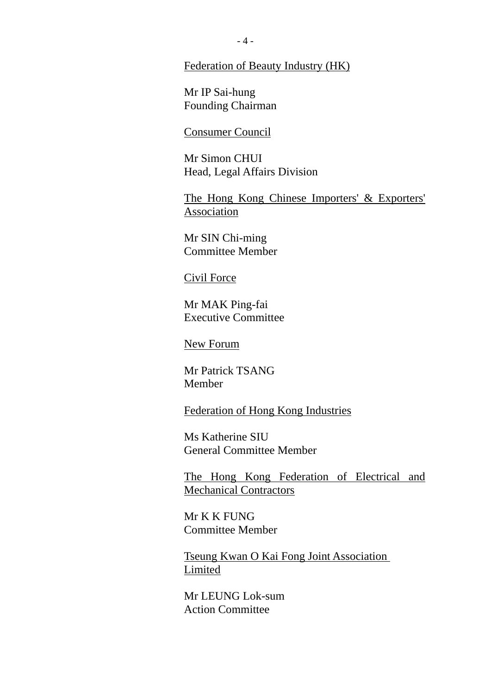#### Federation of Beauty Industry (HK)

Mr IP Sai-hung Founding Chairman

## Consumer Council

Mr Simon CHUI Head, Legal Affairs Division

The Hong Kong Chinese Importers' & Exporters' Association

Mr SIN Chi-ming Committee Member

#### Civil Force

Mr MAK Ping-fai Executive Committee

New Forum

Mr Patrick TSANG Member

Federation of Hong Kong Industries

Ms Katherine SIU General Committee Member

The Hong Kong Federation of Electrical and Mechanical Contractors

Mr K K FUNG Committee Member

Tseung Kwan O Kai Fong Joint Association **Limited** 

Mr LEUNG Lok-sum Action Committee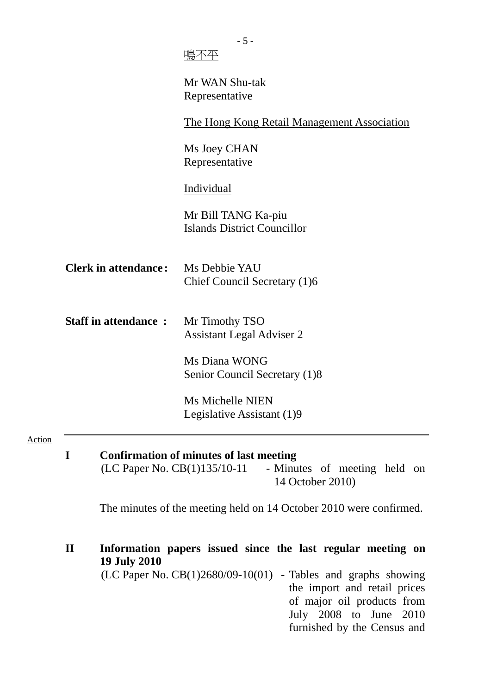|                                                                                                                                   | Mr WAN Shu-tak<br>Representative                                                                                                                                                         |  |  |  |
|-----------------------------------------------------------------------------------------------------------------------------------|------------------------------------------------------------------------------------------------------------------------------------------------------------------------------------------|--|--|--|
|                                                                                                                                   | <u>The Hong Kong Retail Management Association</u>                                                                                                                                       |  |  |  |
|                                                                                                                                   | Ms Joey CHAN<br>Representative                                                                                                                                                           |  |  |  |
|                                                                                                                                   | Individual                                                                                                                                                                               |  |  |  |
|                                                                                                                                   | Mr Bill TANG Ka-piu<br><b>Islands District Councillor</b>                                                                                                                                |  |  |  |
| <b>Clerk in attendance:</b>                                                                                                       | Ms Debbie YAU<br>Chief Council Secretary (1)6                                                                                                                                            |  |  |  |
| <b>Staff in attendance:</b>                                                                                                       | Mr Timothy TSO<br><b>Assistant Legal Adviser 2</b>                                                                                                                                       |  |  |  |
|                                                                                                                                   | Ms Diana WONG                                                                                                                                                                            |  |  |  |
|                                                                                                                                   | Senior Council Secretary (1)8                                                                                                                                                            |  |  |  |
|                                                                                                                                   | <b>Ms Michelle NIEN</b>                                                                                                                                                                  |  |  |  |
|                                                                                                                                   | Legislative Assistant (1)9                                                                                                                                                               |  |  |  |
| I<br>Confirmation of minutes of last meeting<br>$(LC$ Paper No. $CB(1)135/10-11$ - Minutes of meeting held on<br>14 October 2010) |                                                                                                                                                                                          |  |  |  |
|                                                                                                                                   | The minutes of the meeting held on 14 October 2010 were confirmed.                                                                                                                       |  |  |  |
| $\mathbf{I}$<br><b>19 July 2010</b>                                                                                               | Information papers issued since the last regular meeting on                                                                                                                              |  |  |  |
|                                                                                                                                   | $(LC$ Paper No. $CB(1)2680/09-10(01)$ - Tables and graphs showing<br>the import and retail prices<br>of major oil products from<br>July 2008 to June 2010<br>furnished by the Census and |  |  |  |

Action

 $-5 -$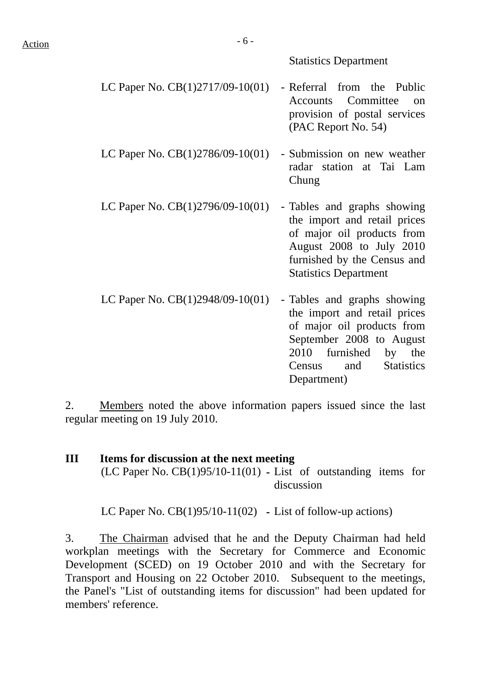#### Statistics Department

- LC Paper No.  $CB(1)2717/09-10(01)$  Referral from the Public Accounts Committee on provision of postal services (PAC Report No. 54)
- LC Paper No.  $CB(1)2786/09-10(01)$  Submission on new weather radar station at Tai Lam Chung
- LC Paper No.  $CB(1)2796/09-10(01)$  Tables and graphs showing the import and retail prices of major oil products from August 2008 to July 2010 furnished by the Census and Statistics Department
- LC Paper No.  $CB(1)2948/09-10(01)$  Tables and graphs showing the import and retail prices of major oil products from September 2008 to August 2010 furnished by the Census and Statistics Department)

2. Members noted the above information papers issued since the last regular meeting on 19 July 2010.

**III Items for discussion at the next meeting**  (LC Paper No. CB(1)95/10-11(01) **-** List of outstanding items for discussion

LC Paper No. CB(1)95/10-11(02) **-** List of follow-up actions)

3. The Chairman advised that he and the Deputy Chairman had held workplan meetings with the Secretary for Commerce and Economic Development (SCED) on 19 October 2010 and with the Secretary for Transport and Housing on 22 October 2010. Subsequent to the meetings, the Panel's "List of outstanding items for discussion" had been updated for members' reference.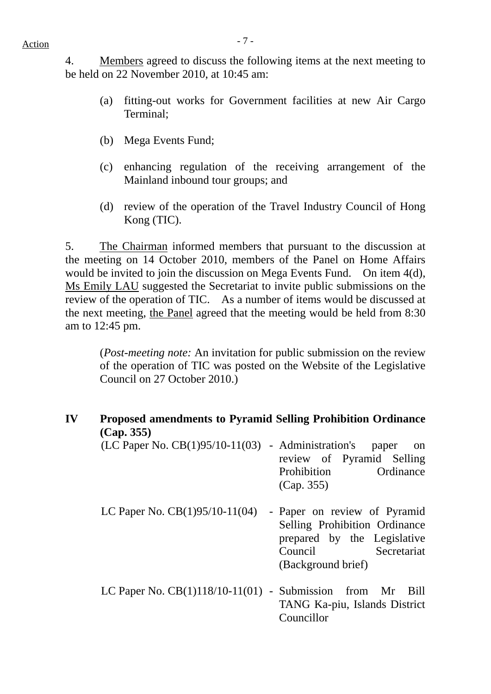$Action$ 

4. Members agreed to discuss the following items at the next meeting to be held on 22 November 2010, at 10:45 am:

- (a) fitting-out works for Government facilities at new Air Cargo Terminal;
- (b) Mega Events Fund;
- (c) enhancing regulation of the receiving arrangement of the Mainland inbound tour groups; and
- (d) review of the operation of the Travel Industry Council of Hong Kong (TIC).

5. The Chairman informed members that pursuant to the discussion at the meeting on 14 October 2010, members of the Panel on Home Affairs would be invited to join the discussion on Mega Events Fund. On item 4(d), Ms Emily LAU suggested the Secretariat to invite public submissions on the review of the operation of TIC. As a number of items would be discussed at the next meeting, the Panel agreed that the meeting would be held from 8:30 am to 12:45 pm.

(*Post-meeting note:* An invitation for public submission on the review of the operation of TIC was posted on the Website of the Legislative Council on 27 October 2010.)

| IV | <b>Proposed amendments to Pyramid Selling Prohibition Ordinance</b><br>(Cap. 355) |                                                                                                                                              |
|----|-----------------------------------------------------------------------------------|----------------------------------------------------------------------------------------------------------------------------------------------|
|    | $(LC$ Paper No. $CB(1)95/10-11(03)$ - Administration's                            | paper<br><sub>on</sub><br>review of Pyramid Selling<br>Ordinance<br>Prohibition<br>(Cap. 355)                                                |
|    | LC Paper No. $CB(1)95/10-11(04)$                                                  | - Paper on review of Pyramid<br>Selling Prohibition Ordinance<br>prepared by the Legislative<br>Secretariat<br>Council<br>(Background brief) |
|    | LC Paper No. $CB(1)118/10-11(01)$ - Submission from Mr                            | Bill<br>TANG Ka-piu, Islands District<br>Councillor                                                                                          |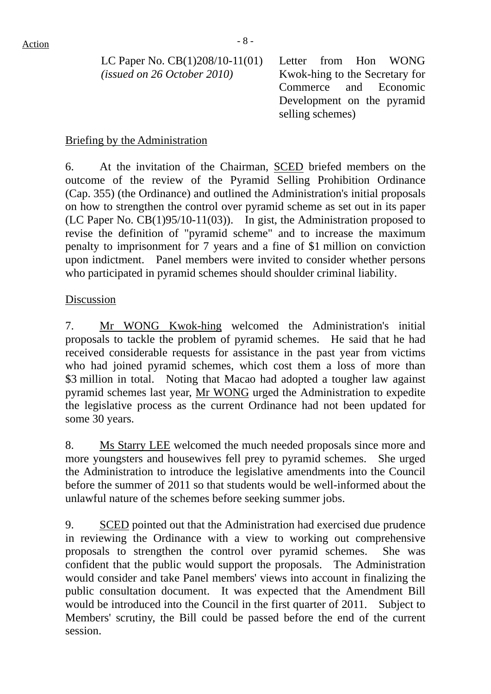LC Paper No. CB(1)208/10-11(01) *(issued on 26 October 2010)* 

 Letter from Hon WONG Kwok-hing to the Secretary for Commerce and Economic Development on the pyramid selling schemes)

### Briefing by the Administration

6. At the invitation of the Chairman, SCED briefed members on the outcome of the review of the Pyramid Selling Prohibition Ordinance (Cap. 355) (the Ordinance) and outlined the Administration's initial proposals on how to strengthen the control over pyramid scheme as set out in its paper (LC Paper No. CB(1)95/10-11(03)). In gist, the Administration proposed to revise the definition of "pyramid scheme" and to increase the maximum penalty to imprisonment for 7 years and a fine of \$1 million on conviction upon indictment. Panel members were invited to consider whether persons who participated in pyramid schemes should shoulder criminal liability.

### Discussion

7. Mr WONG Kwok-hing welcomed the Administration's initial proposals to tackle the problem of pyramid schemes. He said that he had received considerable requests for assistance in the past year from victims who had joined pyramid schemes, which cost them a loss of more than \$3 million in total. Noting that Macao had adopted a tougher law against pyramid schemes last year, Mr WONG urged the Administration to expedite the legislative process as the current Ordinance had not been updated for some 30 years.

8. Ms Starry LEE welcomed the much needed proposals since more and more youngsters and housewives fell prey to pyramid schemes. She urged the Administration to introduce the legislative amendments into the Council before the summer of 2011 so that students would be well-informed about the unlawful nature of the schemes before seeking summer jobs.

9. SCED pointed out that the Administration had exercised due prudence in reviewing the Ordinance with a view to working out comprehensive proposals to strengthen the control over pyramid schemes. She was confident that the public would support the proposals. The Administration would consider and take Panel members' views into account in finalizing the public consultation document. It was expected that the Amendment Bill would be introduced into the Council in the first quarter of 2011. Subject to Members' scrutiny, the Bill could be passed before the end of the current session.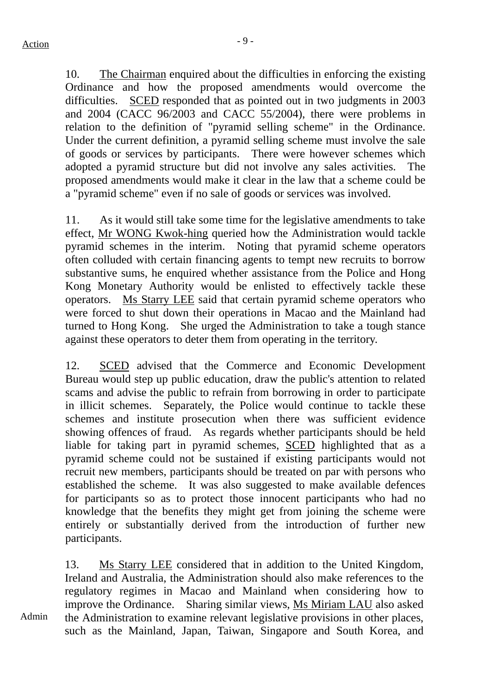10. The Chairman enquired about the difficulties in enforcing the existing Ordinance and how the proposed amendments would overcome the difficulties. SCED responded that as pointed out in two judgments in 2003 and 2004 (CACC 96/2003 and CACC 55/2004), there were problems in relation to the definition of "pyramid selling scheme" in the Ordinance. Under the current definition, a pyramid selling scheme must involve the sale of goods or services by participants. There were however schemes which adopted a pyramid structure but did not involve any sales activities. The proposed amendments would make it clear in the law that a scheme could be a "pyramid scheme" even if no sale of goods or services was involved.

11. As it would still take some time for the legislative amendments to take effect, Mr WONG Kwok-hing queried how the Administration would tackle pyramid schemes in the interim. Noting that pyramid scheme operators often colluded with certain financing agents to tempt new recruits to borrow substantive sums, he enquired whether assistance from the Police and Hong Kong Monetary Authority would be enlisted to effectively tackle these operators. Ms Starry LEE said that certain pyramid scheme operators who were forced to shut down their operations in Macao and the Mainland had turned to Hong Kong. She urged the Administration to take a tough stance against these operators to deter them from operating in the territory.

12. SCED advised that the Commerce and Economic Development Bureau would step up public education, draw the public's attention to related scams and advise the public to refrain from borrowing in order to participate in illicit schemes. Separately, the Police would continue to tackle these schemes and institute prosecution when there was sufficient evidence showing offences of fraud. As regards whether participants should be held liable for taking part in pyramid schemes, SCED highlighted that as a pyramid scheme could not be sustained if existing participants would not recruit new members, participants should be treated on par with persons who established the scheme. It was also suggested to make available defences for participants so as to protect those innocent participants who had no knowledge that the benefits they might get from joining the scheme were entirely or substantially derived from the introduction of further new participants.

13. Ms Starry LEE considered that in addition to the United Kingdom, Ireland and Australia, the Administration should also make references to the regulatory regimes in Macao and Mainland when considering how to improve the Ordinance. Sharing similar views, Ms Miriam LAU also asked the Administration to examine relevant legislative provisions in other places, such as the Mainland, Japan, Taiwan, Singapore and South Korea, and

Admin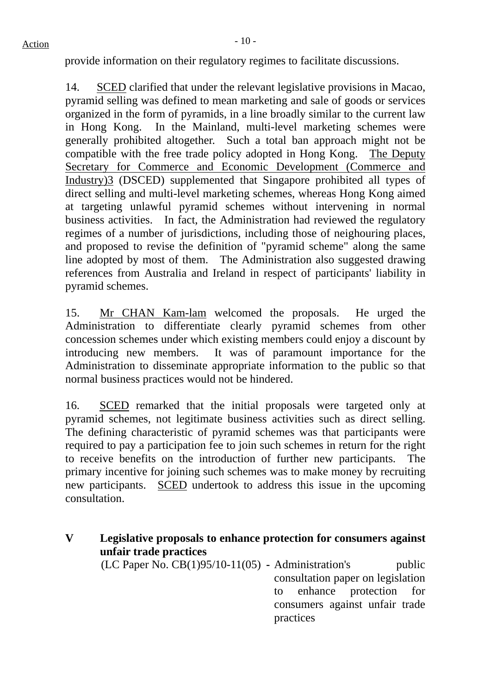provide information on their regulatory regimes to facilitate discussions.

14. SCED clarified that under the relevant legislative provisions in Macao, pyramid selling was defined to mean marketing and sale of goods or services organized in the form of pyramids, in a line broadly similar to the current law in Hong Kong. In the Mainland, multi-level marketing schemes were generally prohibited altogether. Such a total ban approach might not be compatible with the free trade policy adopted in Hong Kong. The Deputy Secretary for Commerce and Economic Development (Commerce and Industry)3 (DSCED) supplemented that Singapore prohibited all types of direct selling and multi-level marketing schemes, whereas Hong Kong aimed at targeting unlawful pyramid schemes without intervening in normal business activities. In fact, the Administration had reviewed the regulatory regimes of a number of jurisdictions, including those of neighouring places, and proposed to revise the definition of "pyramid scheme" along the same line adopted by most of them. The Administration also suggested drawing references from Australia and Ireland in respect of participants' liability in pyramid schemes.

15. Mr CHAN Kam-lam welcomed the proposals. He urged the Administration to differentiate clearly pyramid schemes from other concession schemes under which existing members could enjoy a discount by introducing new members. It was of paramount importance for the Administration to disseminate appropriate information to the public so that normal business practices would not be hindered.

16. SCED remarked that the initial proposals were targeted only at pyramid schemes, not legitimate business activities such as direct selling. The defining characteristic of pyramid schemes was that participants were required to pay a participation fee to join such schemes in return for the right to receive benefits on the introduction of further new participants. The primary incentive for joining such schemes was to make money by recruiting new participants. SCED undertook to address this issue in the upcoming consultation.

**V Legislative proposals to enhance protection for consumers against unfair trade practices**  (LC Paper No. CB(1)95/10-11(05) **-** Administration's public consultation paper on legislation to enhance protection for consumers against unfair trade

practices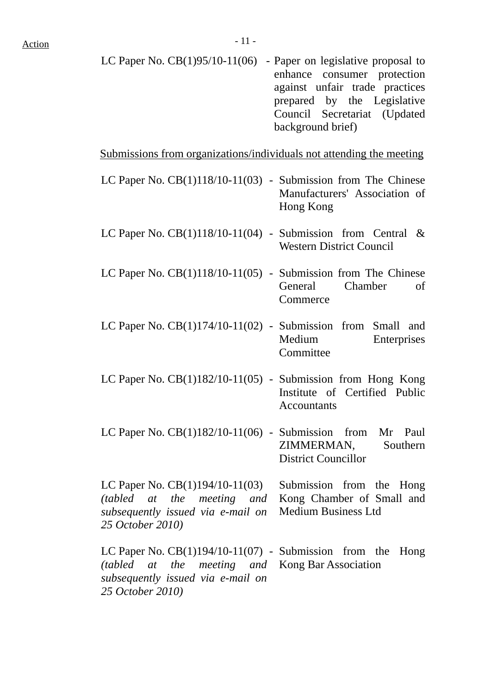| LC Paper No. $CB(1)95/10-11(06)$ - Paper on legislative proposal to |
|---------------------------------------------------------------------|
| enhance consumer protection                                         |
| against unfair trade practices                                      |
| prepared by the Legislative                                         |
| Council Secretariat (Updated                                        |
| background brief)                                                   |

Submissions from organizations/individuals not attending the meeting

| LC Paper No. CB(1)118/10-11(03) - Submission from The Chinese                                                                                                       | Manufacturers' Association of<br>Hong Kong              |
|---------------------------------------------------------------------------------------------------------------------------------------------------------------------|---------------------------------------------------------|
| LC Paper No. $CB(1)118/10-11(04)$ - Submission from Central &                                                                                                       | <b>Western District Council</b>                         |
| LC Paper No. $CB(1)118/10-11(05)$ - Submission from The Chinese                                                                                                     | General<br>Chamber<br>of<br>Commerce                    |
| LC Paper No. $CB(1)174/10-11(02)$ - Submission from Small and                                                                                                       | Medium<br>Enterprises<br>Committee                      |
| LC Paper No. $CB(1)182/10-11(05)$ - Submission from Hong Kong                                                                                                       | Institute of Certified Public<br><b>Accountants</b>     |
| LC Paper No. $CB(1)182/10-11(06)$ - Submission from Mr Paul                                                                                                         | ZIMMERMAN, Southern<br><b>District Councillor</b>       |
| LC Paper No. $CB(1)194/10-11(03)$ Submission from the Hong<br>(tabled at the meeting and<br>subsequently issued via e-mail on<br>25 October 2010)                   | Kong Chamber of Small and<br><b>Medium Business Ltd</b> |
| LC Paper No. $CB(1)194/10-11(07)$ - Submission from the<br>(tabled at the meeting and Kong Bar Association<br>subsequently issued via e-mail on<br>25 October 2010) | Hong                                                    |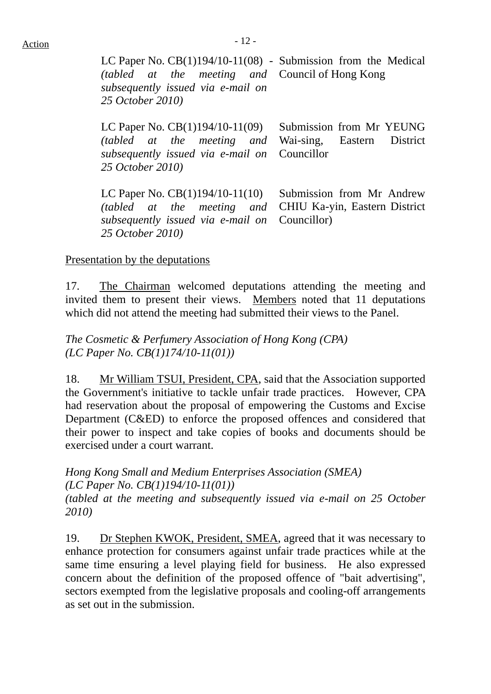LC Paper No. CB(1)194/10-11(08) - Submission from the Medical *(tabled at the meeting) subsequently issued via e-mail on 25 October 2010)*  Council of Hong Kong

LC Paper No. CB(1)194/10-11(09) *(tabled at the meeting) subsequently issued via e-mail on 25 October 2010)*  Submission from Mr YEUNG Wai-sing, Eastern District Councillor

LC Paper No. CB(1)194/10-11(10) *(tabled at the meeting and subsequently issued via e-mail on 25 October 2010)* 

 Submission from Mr Andrew CHIU Ka-yin, Eastern District Councillor)

### Presentation by the deputations

17. The Chairman welcomed deputations attending the meeting and invited them to present their views. Members noted that 11 deputations which did not attend the meeting had submitted their views to the Panel.

*The Cosmetic & Perfumery Association of Hong Kong (CPA) (LC Paper No. CB(1)174/10-11(01))*

18. Mr William TSUI, President, CPA, said that the Association supported the Government's initiative to tackle unfair trade practices. However, CPA had reservation about the proposal of empowering the Customs and Excise Department (C&ED) to enforce the proposed offences and considered that their power to inspect and take copies of books and documents should be exercised under a court warrant.

*Hong Kong Small and Medium Enterprises Association (SMEA) (LC Paper No. CB(1)194/10-11(01)) (tabled at the meeting and subsequently issued via e-mail on 25 October 2010)*

19. Dr Stephen KWOK, President, SMEA, agreed that it was necessary to enhance protection for consumers against unfair trade practices while at the same time ensuring a level playing field for business. He also expressed concern about the definition of the proposed offence of "bait advertising", sectors exempted from the legislative proposals and cooling-off arrangements as set out in the submission.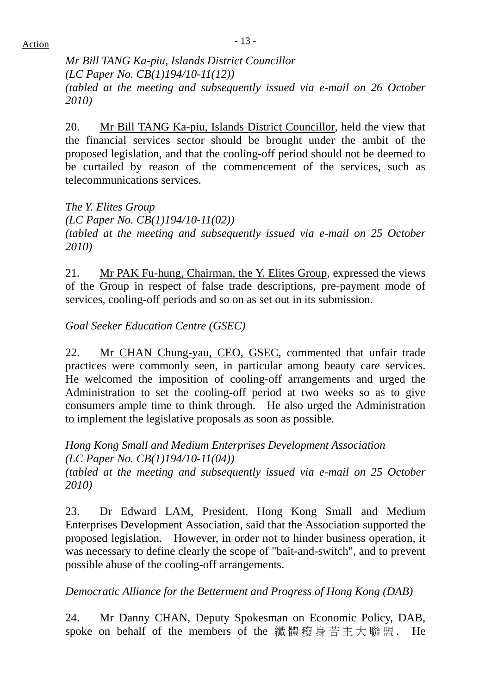*Mr Bill TANG Ka-piu, Islands District Councillor (LC Paper No. CB(1)194/10-11(12)) (tabled at the meeting and subsequently issued via e-mail on 26 October 2010)*

20. Mr Bill TANG Ka-piu, Islands District Councillor, held the view that the financial services sector should be brought under the ambit of the proposed legislation, and that the cooling-off period should not be deemed to be curtailed by reason of the commencement of the services, such as telecommunications services.

*The Y. Elites Group (LC Paper No. CB(1)194/10-11(02)) (tabled at the meeting and subsequently issued via e-mail on 25 October 2010)*

21. Mr PAK Fu-hung, Chairman, the Y. Elites Group, expressed the views of the Group in respect of false trade descriptions, pre-payment mode of services, cooling-off periods and so on as set out in its submission.

*Goal Seeker Education Centre (GSEC)* 

22. Mr CHAN Chung-yau, CEO, GSEC, commented that unfair trade practices were commonly seen, in particular among beauty care services. He welcomed the imposition of cooling-off arrangements and urged the Administration to set the cooling-off period at two weeks so as to give consumers ample time to think through. He also urged the Administration to implement the legislative proposals as soon as possible.

*Hong Kong Small and Medium Enterprises Development Association (LC Paper No. CB(1)194/10-11(04)) (tabled at the meeting and subsequently issued via e-mail on 25 October 2010)*

23. Dr Edward LAM, President, Hong Kong Small and Medium Enterprises Development Association, said that the Association supported the proposed legislation. However, in order not to hinder business operation, it was necessary to define clearly the scope of "bait-and-switch", and to prevent possible abuse of the cooling-off arrangements.

*Democratic Alliance for the Betterment and Progress of Hong Kong (DAB)* 

24. Mr Danny CHAN, Deputy Spokesman on Economic Policy, DAB, spoke on behalf of the members of the 纖體瘦身苦主大聯盟. He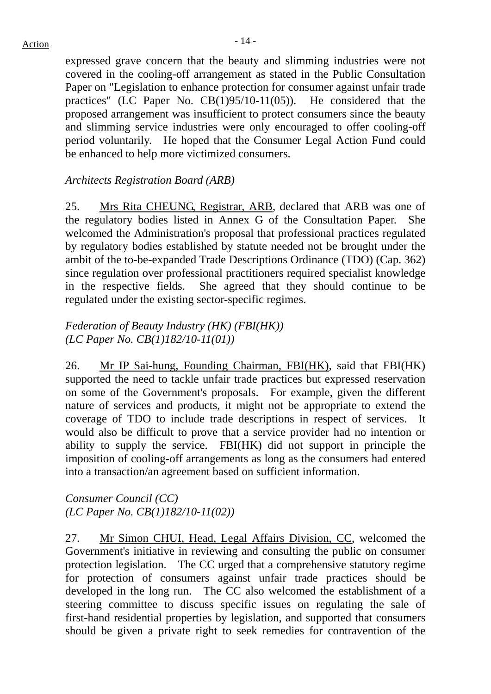expressed grave concern that the beauty and slimming industries were not covered in the cooling-off arrangement as stated in the Public Consultation Paper on "Legislation to enhance protection for consumer against unfair trade practices" (LC Paper No. CB(1)95/10-11(05)). He considered that the proposed arrangement was insufficient to protect consumers since the beauty and slimming service industries were only encouraged to offer cooling-off period voluntarily. He hoped that the Consumer Legal Action Fund could be enhanced to help more victimized consumers.

# *Architects Registration Board (ARB)*

25. Mrs Rita CHEUNG, Registrar, ARB, declared that ARB was one of the regulatory bodies listed in Annex G of the Consultation Paper. She welcomed the Administration's proposal that professional practices regulated by regulatory bodies established by statute needed not be brought under the ambit of the to-be-expanded Trade Descriptions Ordinance (TDO) (Cap. 362) since regulation over professional practitioners required specialist knowledge in the respective fields. She agreed that they should continue to be regulated under the existing sector-specific regimes.

# *Federation of Beauty Industry (HK) (FBI(HK)) (LC Paper No. CB(1)182/10-11(01))*

26. Mr IP Sai-hung, Founding Chairman, FBI(HK), said that FBI(HK) supported the need to tackle unfair trade practices but expressed reservation on some of the Government's proposals. For example, given the different nature of services and products, it might not be appropriate to extend the coverage of TDO to include trade descriptions in respect of services. would also be difficult to prove that a service provider had no intention or ability to supply the service. FBI(HK) did not support in principle the imposition of cooling-off arrangements as long as the consumers had entered into a transaction/an agreement based on sufficient information.

*Consumer Council (CC) (LC Paper No. CB(1)182/10-11(02))* 

27. Mr Simon CHUI, Head, Legal Affairs Division, CC, welcomed the Government's initiative in reviewing and consulting the public on consumer protection legislation. The CC urged that a comprehensive statutory regime for protection of consumers against unfair trade practices should be developed in the long run. The CC also welcomed the establishment of a steering committee to discuss specific issues on regulating the sale of first-hand residential properties by legislation, and supported that consumers should be given a private right to seek remedies for contravention of the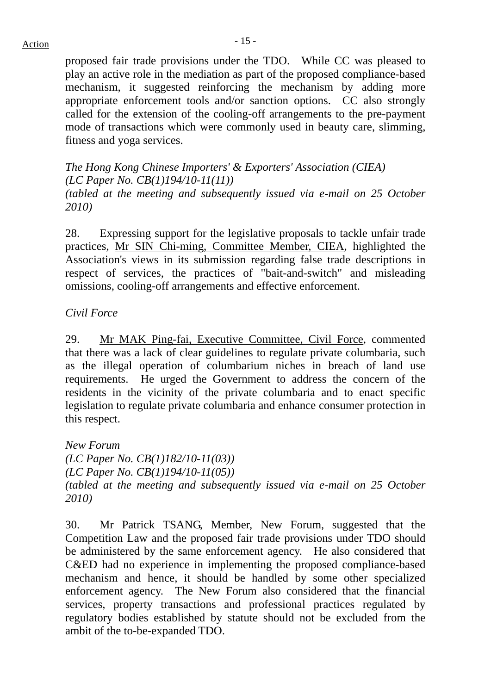# $Action$

proposed fair trade provisions under the TDO. While CC was pleased to play an active role in the mediation as part of the proposed compliance-based mechanism, it suggested reinforcing the mechanism by adding more appropriate enforcement tools and/or sanction options. CC also strongly called for the extension of the cooling-off arrangements to the pre-payment mode of transactions which were commonly used in beauty care, slimming, fitness and yoga services.

*The Hong Kong Chinese Importers' & Exporters' Association (CIEA) (LC Paper No. CB(1)194/10-11(11)) (tabled at the meeting and subsequently issued via e-mail on 25 October 2010)*

28. Expressing support for the legislative proposals to tackle unfair trade practices, Mr SIN Chi-ming, Committee Member, CIEA, highlighted the Association's views in its submission regarding false trade descriptions in respect of services, the practices of "bait-and-switch" and misleading omissions, cooling-off arrangements and effective enforcement.

### *Civil Force*

29. Mr MAK Ping-fai, Executive Committee, Civil Force, commented that there was a lack of clear guidelines to regulate private columbaria, such as the illegal operation of columbarium niches in breach of land use requirements. He urged the Government to address the concern of the residents in the vicinity of the private columbaria and to enact specific legislation to regulate private columbaria and enhance consumer protection in this respect.

*New Forum (LC Paper No. CB(1)182/10-11(03)) (LC Paper No. CB(1)194/10-11(05)) (tabled at the meeting and subsequently issued via e-mail on 25 October 2010)*

30. Mr Patrick TSANG, Member, New Forum, suggested that the Competition Law and the proposed fair trade provisions under TDO should be administered by the same enforcement agency. He also considered that C&ED had no experience in implementing the proposed compliance-based mechanism and hence, it should be handled by some other specialized enforcement agency. The New Forum also considered that the financial services, property transactions and professional practices regulated by regulatory bodies established by statute should not be excluded from the ambit of the to-be-expanded TDO.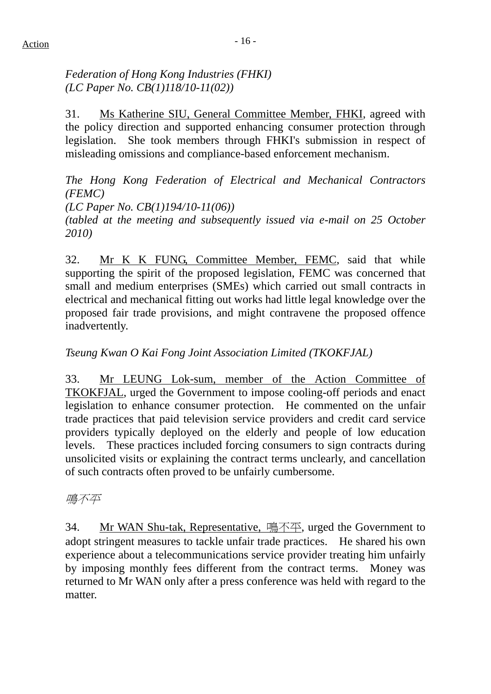# *Federation of Hong Kong Industries (FHKI) (LC Paper No. CB(1)118/10-11(02))*

31. Ms Katherine SIU, General Committee Member, FHKI, agreed with the policy direction and supported enhancing consumer protection through legislation. She took members through FHKI's submission in respect of misleading omissions and compliance-based enforcement mechanism.

*The Hong Kong Federation of Electrical and Mechanical Contractors (FEMC) (LC Paper No. CB(1)194/10-11(06)) (tabled at the meeting and subsequently issued via e-mail on 25 October 2010)*

32. Mr K K FUNG, Committee Member, FEMC, said that while supporting the spirit of the proposed legislation, FEMC was concerned that small and medium enterprises (SMEs) which carried out small contracts in electrical and mechanical fitting out works had little legal knowledge over the proposed fair trade provisions, and might contravene the proposed offence inadvertently.

# *Tseung Kwan O Kai Fong Joint Association Limited (TKOKFJAL)*

33. Mr LEUNG Lok-sum, member of the Action Committee of TKOKFJAL, urged the Government to impose cooling-off periods and enact legislation to enhance consumer protection. He commented on the unfair trade practices that paid television service providers and credit card service providers typically deployed on the elderly and people of low education levels. These practices included forcing consumers to sign contracts during unsolicited visits or explaining the contract terms unclearly, and cancellation of such contracts often proved to be unfairly cumbersome.

鳴不平

34. Mr WAN Shu-tak, Representative, 鳴不平, urged the Government to adopt stringent measures to tackle unfair trade practices. He shared his own experience about a telecommunications service provider treating him unfairly by imposing monthly fees different from the contract terms. Money was returned to Mr WAN only after a press conference was held with regard to the matter.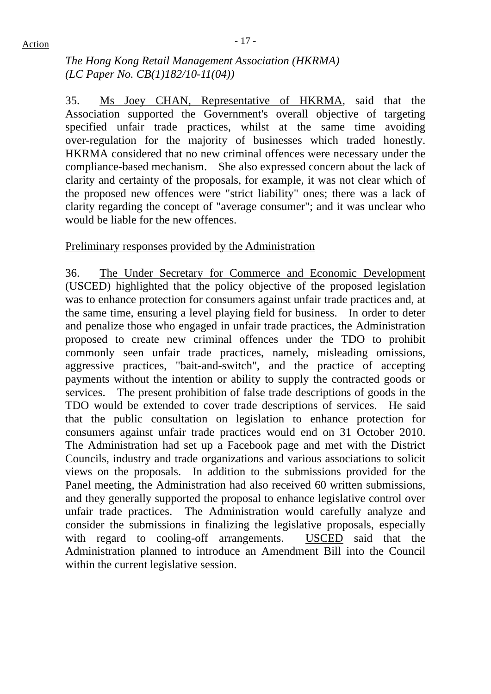*The Hong Kong Retail Management Association (HKRMA) (LC Paper No. CB(1)182/10-11(04))* 

35. Ms Joey CHAN, Representative of HKRMA, said that the Association supported the Government's overall objective of targeting specified unfair trade practices, whilst at the same time avoiding over-regulation for the majority of businesses which traded honestly. HKRMA considered that no new criminal offences were necessary under the compliance-based mechanism. She also expressed concern about the lack of clarity and certainty of the proposals, for example, it was not clear which of the proposed new offences were "strict liability" ones; there was a lack of clarity regarding the concept of "average consumer"; and it was unclear who would be liable for the new offences.

### Preliminary responses provided by the Administration

36. The Under Secretary for Commerce and Economic Development (USCED) highlighted that the policy objective of the proposed legislation was to enhance protection for consumers against unfair trade practices and, at the same time, ensuring a level playing field for business. In order to deter and penalize those who engaged in unfair trade practices, the Administration proposed to create new criminal offences under the TDO to prohibit commonly seen unfair trade practices, namely, misleading omissions, aggressive practices, "bait-and-switch", and the practice of accepting payments without the intention or ability to supply the contracted goods or services. The present prohibition of false trade descriptions of goods in the TDO would be extended to cover trade descriptions of services. He said that the public consultation on legislation to enhance protection for consumers against unfair trade practices would end on 31 October 2010. The Administration had set up a Facebook page and met with the District Councils, industry and trade organizations and various associations to solicit views on the proposals. In addition to the submissions provided for the Panel meeting, the Administration had also received 60 written submissions, and they generally supported the proposal to enhance legislative control over unfair trade practices. The Administration would carefully analyze and consider the submissions in finalizing the legislative proposals, especially with regard to cooling-off arrangements. USCED said that the Administration planned to introduce an Amendment Bill into the Council within the current legislative session.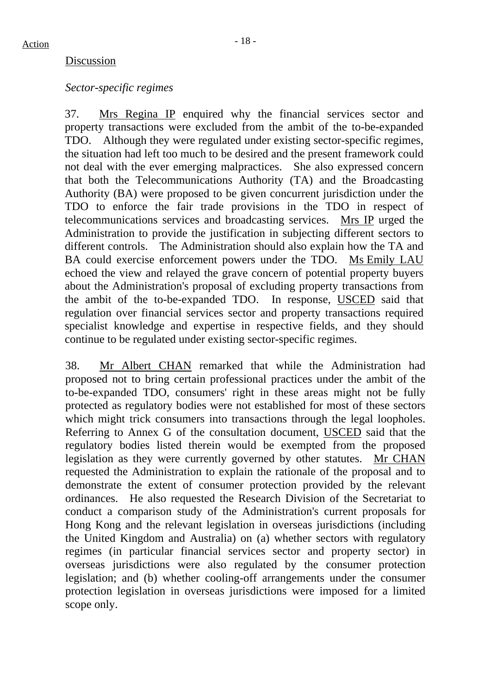#### Discussion

#### *Sector-specific regimes*

37. Mrs Regina IP enquired why the financial services sector and property transactions were excluded from the ambit of the to-be-expanded TDO. Although they were regulated under existing sector-specific regimes, the situation had left too much to be desired and the present framework could not deal with the ever emerging malpractices. She also expressed concern that both the Telecommunications Authority (TA) and the Broadcasting Authority (BA) were proposed to be given concurrent jurisdiction under the TDO to enforce the fair trade provisions in the TDO in respect of telecommunications services and broadcasting services. Mrs IP urged the Administration to provide the justification in subjecting different sectors to different controls. The Administration should also explain how the TA and BA could exercise enforcement powers under the TDO. Ms Emily LAU echoed the view and relayed the grave concern of potential property buyers about the Administration's proposal of excluding property transactions from the ambit of the to-be-expanded TDO. In response, USCED said that regulation over financial services sector and property transactions required specialist knowledge and expertise in respective fields, and they should continue to be regulated under existing sector-specific regimes.

38. Mr Albert CHAN remarked that while the Administration had proposed not to bring certain professional practices under the ambit of the to-be-expanded TDO, consumers' right in these areas might not be fully protected as regulatory bodies were not established for most of these sectors which might trick consumers into transactions through the legal loopholes. Referring to Annex G of the consultation document, USCED said that the regulatory bodies listed therein would be exempted from the proposed legislation as they were currently governed by other statutes. Mr CHAN requested the Administration to explain the rationale of the proposal and to demonstrate the extent of consumer protection provided by the relevant ordinances. He also requested the Research Division of the Secretariat to conduct a comparison study of the Administration's current proposals for Hong Kong and the relevant legislation in overseas jurisdictions (including the United Kingdom and Australia) on (a) whether sectors with regulatory regimes (in particular financial services sector and property sector) in overseas jurisdictions were also regulated by the consumer protection legislation; and (b) whether cooling-off arrangements under the consumer protection legislation in overseas jurisdictions were imposed for a limited scope only.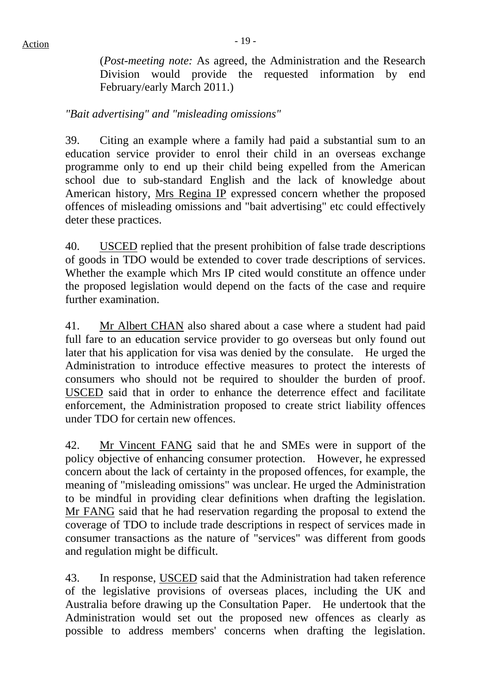(*Post-meeting note:* As agreed, the Administration and the Research Division would provide the requested information by end February/early March 2011.)

*"Bait advertising" and "misleading omissions"* 

39. Citing an example where a family had paid a substantial sum to an education service provider to enrol their child in an overseas exchange programme only to end up their child being expelled from the American school due to sub-standard English and the lack of knowledge about American history, Mrs Regina IP expressed concern whether the proposed offences of misleading omissions and "bait advertising" etc could effectively deter these practices.

40. USCED replied that the present prohibition of false trade descriptions of goods in TDO would be extended to cover trade descriptions of services. Whether the example which Mrs IP cited would constitute an offence under the proposed legislation would depend on the facts of the case and require further examination.

41. Mr Albert CHAN also shared about a case where a student had paid full fare to an education service provider to go overseas but only found out later that his application for visa was denied by the consulate. He urged the Administration to introduce effective measures to protect the interests of consumers who should not be required to shoulder the burden of proof. USCED said that in order to enhance the deterrence effect and facilitate enforcement, the Administration proposed to create strict liability offences under TDO for certain new offences.

42. Mr Vincent FANG said that he and SMEs were in support of the policy objective of enhancing consumer protection. However, he expressed concern about the lack of certainty in the proposed offences, for example, the meaning of "misleading omissions" was unclear. He urged the Administration to be mindful in providing clear definitions when drafting the legislation. Mr FANG said that he had reservation regarding the proposal to extend the coverage of TDO to include trade descriptions in respect of services made in consumer transactions as the nature of "services" was different from goods and regulation might be difficult.

43. In response, USCED said that the Administration had taken reference of the legislative provisions of overseas places, including the UK and Australia before drawing up the Consultation Paper. He undertook that the Administration would set out the proposed new offences as clearly as possible to address members' concerns when drafting the legislation.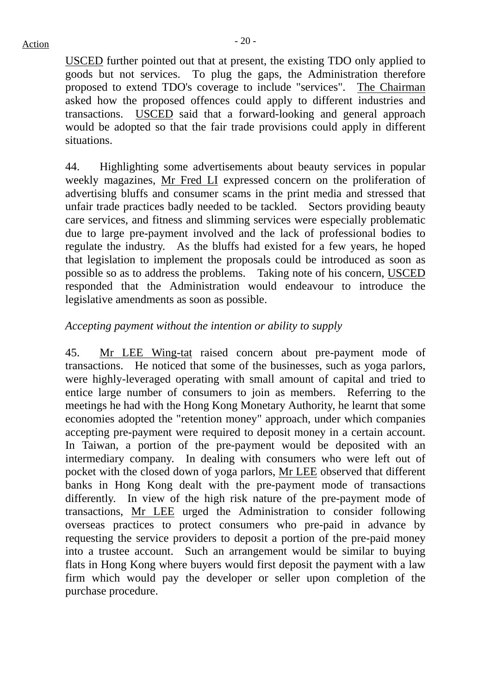USCED further pointed out that at present, the existing TDO only applied to goods but not services. To plug the gaps, the Administration therefore proposed to extend TDO's coverage to include "services". The Chairman asked how the proposed offences could apply to different industries and transactions. USCED said that a forward-looking and general approach would be adopted so that the fair trade provisions could apply in different situations.

44. Highlighting some advertisements about beauty services in popular weekly magazines, Mr Fred LI expressed concern on the proliferation of advertising bluffs and consumer scams in the print media and stressed that unfair trade practices badly needed to be tackled. Sectors providing beauty care services, and fitness and slimming services were especially problematic due to large pre-payment involved and the lack of professional bodies to regulate the industry. As the bluffs had existed for a few years, he hoped that legislation to implement the proposals could be introduced as soon as possible so as to address the problems. Taking note of his concern, USCED responded that the Administration would endeavour to introduce the legislative amendments as soon as possible.

# *Accepting payment without the intention or ability to supply*

45. Mr LEE Wing-tat raised concern about pre-payment mode of transactions. He noticed that some of the businesses, such as yoga parlors, were highly-leveraged operating with small amount of capital and tried to entice large number of consumers to join as members. Referring to the meetings he had with the Hong Kong Monetary Authority, he learnt that some economies adopted the "retention money" approach, under which companies accepting pre-payment were required to deposit money in a certain account. In Taiwan, a portion of the pre-payment would be deposited with an intermediary company. In dealing with consumers who were left out of pocket with the closed down of yoga parlors, Mr LEE observed that different banks in Hong Kong dealt with the pre-payment mode of transactions differently. In view of the high risk nature of the pre-payment mode of transactions, Mr LEE urged the Administration to consider following overseas practices to protect consumers who pre-paid in advance by requesting the service providers to deposit a portion of the pre-paid money into a trustee account. Such an arrangement would be similar to buying flats in Hong Kong where buyers would first deposit the payment with a law firm which would pay the developer or seller upon completion of the purchase procedure.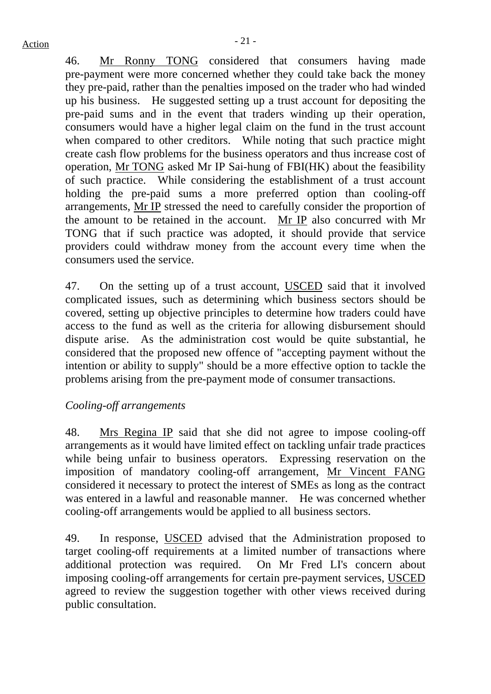46. Mr Ronny TONG considered that consumers having made pre-payment were more concerned whether they could take back the money they pre-paid, rather than the penalties imposed on the trader who had winded up his business. He suggested setting up a trust account for depositing the pre-paid sums and in the event that traders winding up their operation, consumers would have a higher legal claim on the fund in the trust account when compared to other creditors. While noting that such practice might create cash flow problems for the business operators and thus increase cost of operation, Mr TONG asked Mr IP Sai-hung of FBI(HK) about the feasibility of such practice. While considering the establishment of a trust account holding the pre-paid sums a more preferred option than cooling-off arrangements, Mr IP stressed the need to carefully consider the proportion of the amount to be retained in the account. Mr IP also concurred with Mr TONG that if such practice was adopted, it should provide that service providers could withdraw money from the account every time when the consumers used the service.

47. On the setting up of a trust account, USCED said that it involved complicated issues, such as determining which business sectors should be covered, setting up objective principles to determine how traders could have access to the fund as well as the criteria for allowing disbursement should dispute arise. As the administration cost would be quite substantial, he considered that the proposed new offence of "accepting payment without the intention or ability to supply" should be a more effective option to tackle the problems arising from the pre-payment mode of consumer transactions.

# *Cooling-off arrangements*

48. Mrs Regina IP said that she did not agree to impose cooling-off arrangements as it would have limited effect on tackling unfair trade practices while being unfair to business operators. Expressing reservation on the imposition of mandatory cooling-off arrangement, Mr Vincent FANG considered it necessary to protect the interest of SMEs as long as the contract was entered in a lawful and reasonable manner. He was concerned whether cooling-off arrangements would be applied to all business sectors.

49. In response, USCED advised that the Administration proposed to target cooling-off requirements at a limited number of transactions where additional protection was required. On Mr Fred LI's concern about imposing cooling-off arrangements for certain pre-payment services, USCED agreed to review the suggestion together with other views received during public consultation.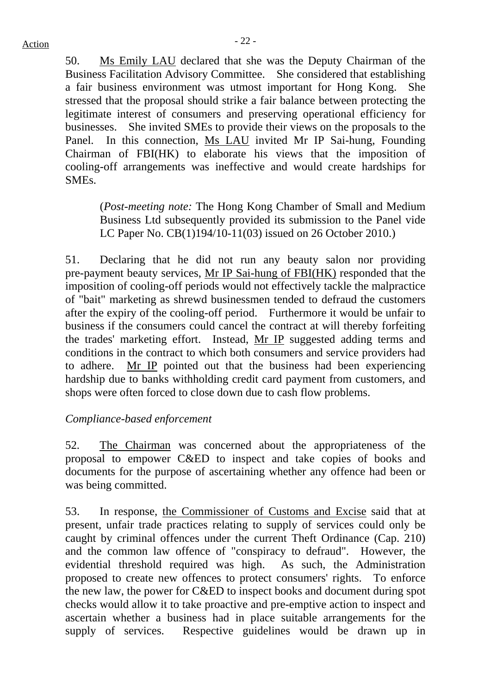50. Ms Emily LAU declared that she was the Deputy Chairman of the Business Facilitation Advisory Committee. She considered that establishing a fair business environment was utmost important for Hong Kong. She stressed that the proposal should strike a fair balance between protecting the legitimate interest of consumers and preserving operational efficiency for businesses. She invited SMEs to provide their views on the proposals to the Panel. In this connection, Ms LAU invited Mr IP Sai-hung, Founding Chairman of FBI(HK) to elaborate his views that the imposition of cooling-off arrangements was ineffective and would create hardships for SMEs.

(*Post-meeting note:* The Hong Kong Chamber of Small and Medium Business Ltd subsequently provided its submission to the Panel vide LC Paper No. CB(1)194/10-11(03) issued on 26 October 2010.)

51. Declaring that he did not run any beauty salon nor providing pre-payment beauty services, Mr IP Sai-hung of FBI(HK) responded that the imposition of cooling-off periods would not effectively tackle the malpractice of "bait" marketing as shrewd businessmen tended to defraud the customers after the expiry of the cooling-off period. Furthermore it would be unfair to business if the consumers could cancel the contract at will thereby forfeiting the trades' marketing effort. Instead, Mr IP suggested adding terms and conditions in the contract to which both consumers and service providers had to adhere. Mr IP pointed out that the business had been experiencing hardship due to banks withholding credit card payment from customers, and shops were often forced to close down due to cash flow problems.

# *Compliance-based enforcement*

52. The Chairman was concerned about the appropriateness of the proposal to empower C&ED to inspect and take copies of books and documents for the purpose of ascertaining whether any offence had been or was being committed.

53. In response, the Commissioner of Customs and Excise said that at present, unfair trade practices relating to supply of services could only be caught by criminal offences under the current Theft Ordinance (Cap. 210) and the common law offence of "conspiracy to defraud". However, the evidential threshold required was high. As such, the Administration proposed to create new offences to protect consumers' rights. To enforce the new law, the power for C&ED to inspect books and document during spot checks would allow it to take proactive and pre-emptive action to inspect and ascertain whether a business had in place suitable arrangements for the supply of services. Respective guidelines would be drawn up in